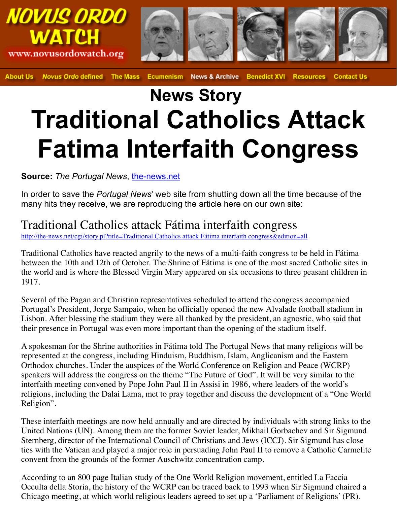## **News Story Traditional Catholics Att Fatima Interfaith Congress**

**Source:** *The Portugal News*, the-news.net

In order to save the *Portugal News*' web site from shutting down all the time beca many hits they receive, we are reproducing the article here on our own site:

Traditional Catholics attack Fátima interfaith congress

http://the-news.net/cgi/story.pl?title=Traditional Catholics attack Fátima interfaith congress&edition=all

Traditional Catholics have reacted angrily to the news of a multi-faith congress to be held between the 10th and 12th of O[ctober. The Shri](http://the-news.net/)ne of Fátima is one of the most sacred Cat the world and is where the Blessed Virgin Mary appeared on six occasions to three peasant 1917.

Several of the Pagan and Christian representatives scheduled to attend the congress accord Portugal's President, Jorge Sampaio, when he officially opened the new Alvalade football [Lisbon. After blessing the stadium they were all thanked by the president, an agnostic](http://the-news.net/cgi/story.pl?title=Traditional%20Catholics%20attack%20F%E1tima%20interfaith%20congress&edition=all), when their presence in Portugal was even more important than the opening of the stadium itself.

A spokesman for the Shrine authorities in Fátima told The Portugal News that many relig represented at the congress, including Hinduism, Buddhism, Islam, Anglicanism and the Orthodox churches. Under the auspices of the World Conference on Religion and Peace ( speakers will address the congress on the theme "The Future of God". It will be very similar to the very similar to the theme "The Future of God". It will be very similar to the very similar to the very similar to the very interfaith meeting convened by Pope John Paul II in Assisi in 1986, where leaders of the religions, including the Dalai Lama, met to pray together and discuss the development of Religion".

These interfaith meetings are now held annually and are directed by individuals with strong United Nations (UN). Among them are the former Soviet leader, Mikhail Gorbachev and Sternberg, director of the International Council of Christians and Jews (ICCJ). Sir Sigmund has close to  $\mu$ ties with the Vatican and played a major role in persuading John Paul II to remove a Cath convent from the grounds of the former Auschwitz concentration camp.

According to an 800 page Italian study of the One World Religion movement, entitled La Occulta della Storia, the history of the WCRP can be traced back to 1993 when Sir Sigmund chaired as the MCRP can be traced back to 1993 when Sir Sigmund chaired as the attention and the MCRP can be traced as the attention Chicago meeting, at which world religious leaders agreed to set up a 'Parliament of Relig